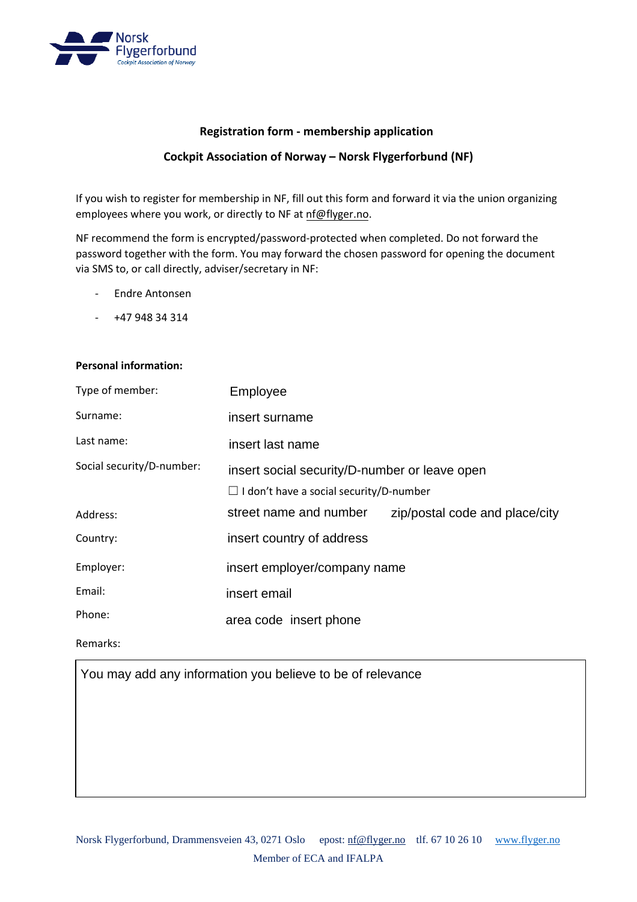

## **Registration form - membership application**

## **Cockpit Association of Norway – Norsk Flygerforbund (NF)**

If you wish to register for membership in NF, fill out this form and forward it via the union organizing employees where you work, or directly to NF at [nf@flyger.no.](mailto:nf@flyger.no)

NF recommend the form is encrypted/password-protected when completed. Do not forward the password together with the form. You may forward the chosen password for opening the document via SMS to, or call directly, adviser/secretary in NF:

- Endre Antonsen
- +47 948 34 314

## **Personal information:**

| Type of member:           | Employee                                                                                        |                                |
|---------------------------|-------------------------------------------------------------------------------------------------|--------------------------------|
| Surname:                  | insert surname                                                                                  |                                |
| Last name:                | insert last name                                                                                |                                |
| Social security/D-number: | insert social security/D-number or leave open<br>$\Box$ I don't have a social security/D-number |                                |
| Address:                  | street name and number                                                                          | zip/postal code and place/city |
| Country:                  | insert country of address                                                                       |                                |
| Employer:                 | insert employer/company name                                                                    |                                |
| Email:                    | insert email                                                                                    |                                |
| Phone:                    | area code insert phone                                                                          |                                |

Remarks:

You may add any information you believe to be of relevance